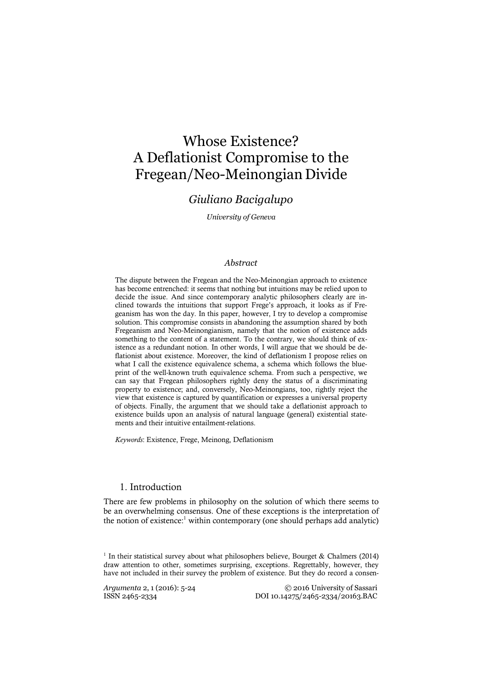# Whose Existence? A Deflationist Compromise to the Fregean/Neo-Meinongian Divide

# *Giuliano Bacigalupo*

*University of Geneva*

#### *Abstract*

The dispute between the Fregean and the Neo-Meinongian approach to existence has become entrenched: it seems that nothing but intuitions may be relied upon to decide the issue. And since contemporary analytic philosophers clearly are inclined towards the intuitions that support Frege's approach, it looks as if Fregeanism has won the day. In this paper, however, I try to develop a compromise solution. This compromise consists in abandoning the assumption shared by both Fregeanism and Neo-Meinongianism, namely that the notion of existence adds something to the content of a statement. To the contrary, we should think of existence as a redundant notion. In other words, I will argue that we should be deflationist about existence. Moreover, the kind of deflationism I propose relies on what I call the existence equivalence schema, a schema which follows the blueprint of the well-known truth equivalence schema. From such a perspective, we can say that Fregean philosophers rightly deny the status of a discriminating property to existence; and, conversely, Neo-Meinongians, too, rightly reject the view that existence is captured by quantification or expresses a universal property of objects. Finally, the argument that we should take a deflationist approach to existence builds upon an analysis of natural language (general) existential statements and their intuitive entailment-relations.

*Keywords*: Existence, Frege, Meinong, Deflationism

#### 1. Introduction

There are few problems in philosophy on the solution of which there seems to be an overwhelming consensus. One of these exceptions is the interpretation of the notion of existence:<sup>1</sup> within contemporary (one should perhaps add analytic)

 $1$  In their statistical survey about what philosophers believe, Bourget & Chalmers (2014) draw attention to other, sometimes surprising, exceptions. Regrettably, however, they have not included in their survey the problem of existence. But they do record a consen-

*Argumenta* 2, 1 (2016): 5-24 <sup>©</sup> 2016 University of Sassari<br>ISSN 2465-2334 *DOI* 10.14275/2465-2334/20163.BAC DOI 10.14275/2465-2334/20163.BAC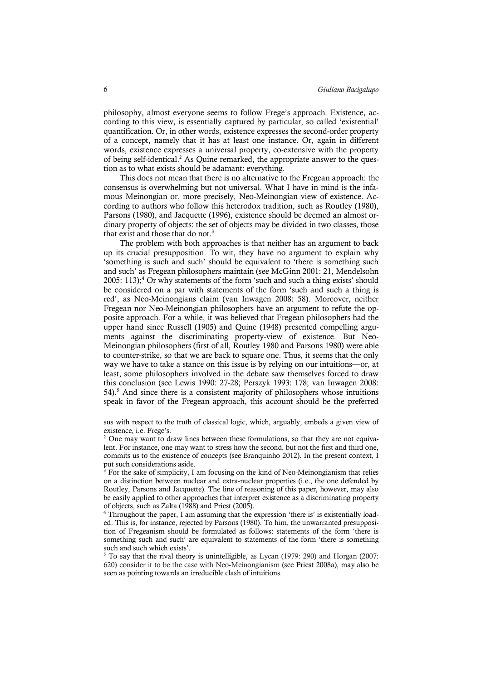philosophy, almost everyone seems to follow Frege's approach. Existence, according to this view, is essentially captured by particular, so called 'existential' quantification. Or, in other words, existence expresses the second-order property of a concept, namely that it has at least one instance. Or, again in different words, existence expresses a universal property, co-extensive with the property of being self-identical.2 As Quine remarked, the appropriate answer to the question as to what exists should be adamant: everything.

This does not mean that there is no alternative to the Fregean approach: the consensus is overwhelming but not universal. What I have in mind is the infamous Meinongian or, more precisely, Neo-Meinongian view of existence. According to authors who follow this heterodox tradition, such as Routley (1980), Parsons (1980), and Jacquette (1996), existence should be deemed an almost ordinary property of objects: the set of objects may be divided in two classes, those that exist and those that do not.<sup>3</sup>

The problem with both approaches is that neither has an argument to back up its crucial presupposition. To wit, they have no argument to explain why 'something is such and such' should be equivalent to 'there is something such and such' as Fregean philosophers maintain (see McGinn 2001: 21, Mendelsohn 2005: 113);<sup>4</sup> Or why statements of the form 'such and such a thing exists' should be considered on a par with statements of the form 'such and such a thing is red', as Neo-Meinongians claim (van Inwagen 2008: 58). Moreover, neither Fregean nor Neo-Meinongian philosophers have an argument to refute the opposite approach. For a while, it was believed that Fregean philosophers had the upper hand since Russell (1905) and Quine (1948) presented compelling arguments against the discriminating property-view of existence. But Neo-Meinongian philosophers (first of all, Routley 1980 and Parsons 1980) were able to counter-strike, so that we are back to square one. Thus, it seems that the only way we have to take a stance on this issue is by relying on our intuitions—or, at least, some philosophers involved in the debate saw themselves forced to draw this conclusion (see Lewis 1990: 27-28; Perszyk 1993: 178; van Inwagen 2008: 54).5 And since there is a consistent majority of philosophers whose intuitions speak in favor of the Fregean approach, this account should be the preferred

sus with respect to the truth of classical logic, which, arguably, embeds a given view of existence, i.e. Frege's.

<sup>2</sup> One may want to draw lines between these formulations, so that they are not equivalent. For instance, one may want to stress how the second, but not the first and third one, commits us to the existence of concepts (see Branquinho 2012). In the present context, I put such considerations aside.

<sup>3</sup> For the sake of simplicity, I am focusing on the kind of Neo-Meinongianism that relies on a distinction between nuclear and extra-nuclear properties (i.e., the one defended by Routley, Parsons and Jacquette). The line of reasoning of this paper, however, may also be easily applied to other approaches that interpret existence as a discriminating property of objects, such as Zalta (1988) and Priest (2005).

<sup>4</sup> Throughout the paper, I am assuming that the expression 'there is' is existentially loaded. This is, for instance, rejected by Parsons (1980). To him, the unwarranted presupposition of Fregeanism should be formulated as follows: statements of the form 'there is something such and such' are equivalent to statements of the form 'there is something such and such which exists'.

<sup>5</sup> To say that the rival theory is unintelligible, as Lycan (1979: 290) and Horgan (2007: 620) consider it to be the case with Neo-Meinongianism (see Priest 2008a), may also be seen as pointing towards an irreducible clash of intuitions.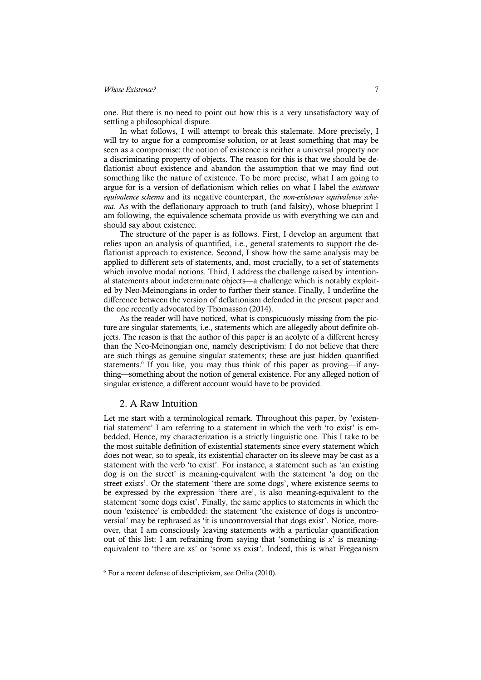one. But there is no need to point out how this is a very unsatisfactory way of settling a philosophical dispute.

In what follows, I will attempt to break this stalemate. More precisely, I will try to argue for a compromise solution, or at least something that may be seen as a compromise: the notion of existence is neither a universal property nor a discriminating property of objects. The reason for this is that we should be deflationist about existence and abandon the assumption that we may find out something like the nature of existence. To be more precise, what I am going to argue for is a version of deflationism which relies on what I label the *existence equivalence schema* and its negative counterpart, the *non-existence equivalence schema*. As with the deflationary approach to truth (and falsity), whose blueprint I am following, the equivalence schemata provide us with everything we can and should say about existence.

The structure of the paper is as follows. First, I develop an argument that relies upon an analysis of quantified, i.e., general statements to support the deflationist approach to existence. Second, I show how the same analysis may be applied to different sets of statements, and, most crucially, to a set of statements which involve modal notions. Third, I address the challenge raised by intentional statements about indeterminate objects—a challenge which is notably exploited by Neo-Meinongians in order to further their stance. Finally, I underline the difference between the version of deflationism defended in the present paper and the one recently advocated by Thomasson (2014).

As the reader will have noticed, what is conspicuously missing from the picture are singular statements, i.e., statements which are allegedly about definite objects. The reason is that the author of this paper is an acolyte of a different heresy than the Neo-Meinongian one, namely descriptivism: I do not believe that there are such things as genuine singular statements; these are just hidden quantified statements.<sup>6</sup> If you like, you may thus think of this paper as proving—if anything—something about the notion of general existence. For any alleged notion of singular existence, a different account would have to be provided.

### 2. A Raw Intuition

Let me start with a terminological remark. Throughout this paper, by 'existential statement' I am referring to a statement in which the verb 'to exist' is embedded. Hence, my characterization is a strictly linguistic one. This I take to be the most suitable definition of existential statements since every statement which does not wear, so to speak, its existential character on its sleeve may be cast as a statement with the verb 'to exist'. For instance, a statement such as 'an existing dog is on the street' is meaning-equivalent with the statement 'a dog on the street exists'. Or the statement 'there are some dogs', where existence seems to be expressed by the expression 'there are', is also meaning-equivalent to the statement 'some dogs exist'. Finally, the same applies to statements in which the noun 'existence' is embedded: the statement 'the existence of dogs is uncontroversial' may be rephrased as 'it is uncontroversial that dogs exist'. Notice, moreover, that I am consciously leaving statements with a particular quantification out of this list: I am refraining from saying that 'something is x' is meaningequivalent to 'there are xs' or 'some xs exist'. Indeed, this is what Fregeanism

<sup>6</sup> For a recent defense of descriptivism, see Orilia (2010).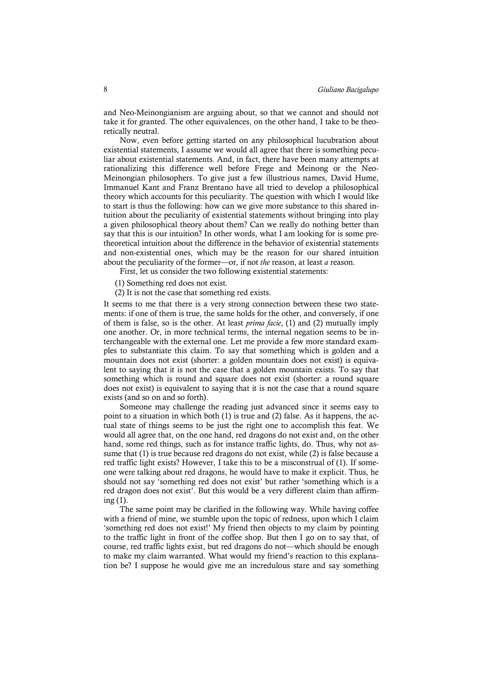and Neo-Meinongianism are arguing about, so that we cannot and should not take it for granted. The other equivalences, on the other hand, I take to be theoretically neutral.

Now, even before getting started on any philosophical lucubration about existential statements, I assume we would all agree that there is something peculiar about existential statements. And, in fact, there have been many attempts at rationalizing this difference well before Frege and Meinong or the Neo-Meinongian philosophers. To give just a few illustrious names, David Hume, Immanuel Kant and Franz Brentano have all tried to develop a philosophical theory which accounts for this peculiarity. The question with which I would like to start is thus the following: how can we give more substance to this shared intuition about the peculiarity of existential statements without bringing into play a given philosophical theory about them? Can we really do nothing better than say that this is our intuition? In other words, what I am looking for is some pretheoretical intuition about the difference in the behavior of existential statements and non-existential ones, which may be the reason for our shared intuition about the peculiarity of the former—or, if not *the* reason, at least *a* reason.

First, let us consider the two following existential statements:

(1) Something red does not exist.

(2) It is not the case that something red exists.

It seems to me that there is a very strong connection between these two statements: if one of them is true, the same holds for the other, and conversely, if one of them is false, so is the other. At least *prima facie*, (1) and (2) mutually imply one another. Or, in more technical terms, the internal negation seems to be interchangeable with the external one. Let me provide a few more standard examples to substantiate this claim. To say that something which is golden and a mountain does not exist (shorter: a golden mountain does not exist) is equivalent to saying that it is not the case that a golden mountain exists. To say that something which is round and square does not exist (shorter: a round square does not exist) is equivalent to saying that it is not the case that a round square exists (and so on and so forth).

Someone may challenge the reading just advanced since it seems easy to point to a situation in which both (1) is true and (2) false. As it happens, the actual state of things seems to be just the right one to accomplish this feat. We would all agree that, on the one hand, red dragons do not exist and, on the other hand, some red things, such as for instance traffic lights, do. Thus, why not assume that (1) is true because red dragons do not exist, while (2) is false because a red traffic light exists? However, I take this to be a misconstrual of (1). If someone were talking about red dragons, he would have to make it explicit. Thus, he should not say 'something red does not exist' but rather 'something which is a red dragon does not exist'. But this would be a very different claim than affirming (1).

The same point may be clarified in the following way. While having coffee with a friend of mine, we stumble upon the topic of redness, upon which I claim 'something red does not exist!' My friend then objects to my claim by pointing to the traffic light in front of the coffee shop. But then I go on to say that, of course, red traffic lights exist, but red dragons do not—which should be enough to make my claim warranted. What would my friend's reaction to this explanation be? I suppose he would give me an incredulous stare and say something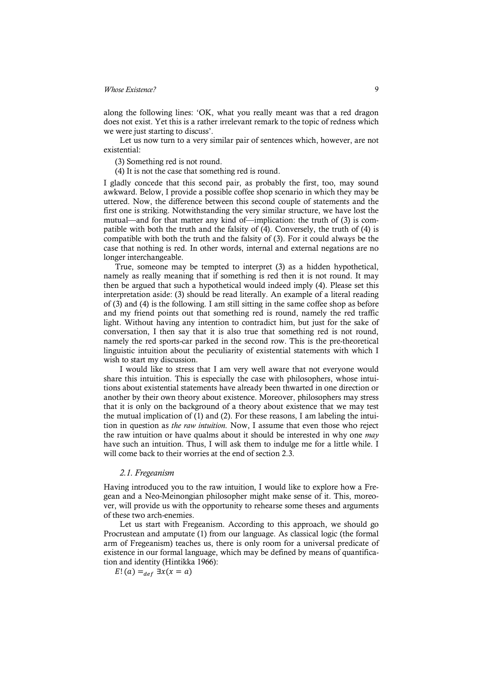along the following lines: 'OK, what you really meant was that a red dragon does not exist. Yet this is a rather irrelevant remark to the topic of redness which we were just starting to discuss'.

Let us now turn to a very similar pair of sentences which, however, are not existential:

(3) Something red is not round.

(4) It is not the case that something red is round.

I gladly concede that this second pair, as probably the first, too, may sound awkward. Below, I provide a possible coffee shop scenario in which they may be uttered. Now, the difference between this second couple of statements and the first one is striking. Notwithstanding the very similar structure, we have lost the mutual—and for that matter any kind of—implication: the truth of (3) is compatible with both the truth and the falsity of (4). Conversely, the truth of (4) is compatible with both the truth and the falsity of (3). For it could always be the case that nothing is red. In other words, internal and external negations are no longer interchangeable.

True, someone may be tempted to interpret (3) as a hidden hypothetical, namely as really meaning that if something is red then it is not round. It may then be argued that such a hypothetical would indeed imply (4). Please set this interpretation aside: (3) should be read literally. An example of a literal reading of (3) and (4) is the following. I am still sitting in the same coffee shop as before and my friend points out that something red is round, namely the red traffic light. Without having any intention to contradict him, but just for the sake of conversation, I then say that it is also true that something red is not round, namely the red sports-car parked in the second row. This is the pre-theoretical linguistic intuition about the peculiarity of existential statements with which I wish to start my discussion.

I would like to stress that I am very well aware that not everyone would share this intuition. This is especially the case with philosophers, whose intuitions about existential statements have already been thwarted in one direction or another by their own theory about existence. Moreover, philosophers may stress that it is only on the background of a theory about existence that we may test the mutual implication of (1) and (2). For these reasons, I am labeling the intuition in question as *the raw intuition*. Now, I assume that even those who reject the raw intuition or have qualms about it should be interested in why one *may* have such an intuition. Thus, I will ask them to indulge me for a little while. I will come back to their worries at the end of section 2.3.

#### *2.1. Fregeanism*

Having introduced you to the raw intuition, I would like to explore how a Fregean and a Neo-Meinongian philosopher might make sense of it. This, moreover, will provide us with the opportunity to rehearse some theses and arguments of these two arch-enemies.

Let us start with Fregeanism. According to this approach, we should go Procrustean and amputate (1) from our language. As classical logic (the formal arm of Fregeanism) teaches us, there is only room for a universal predicate of existence in our formal language, which may be defined by means of quantification and identity (Hintikka 1966):

 $E! (a) =_{def} \exists x(x = a)$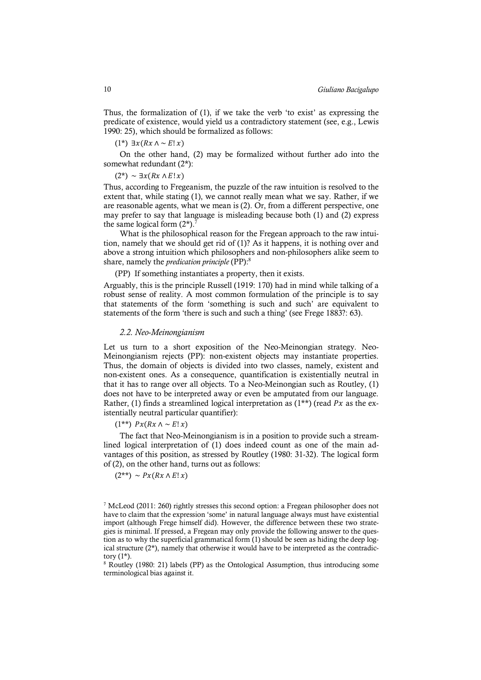Thus, the formalization of (1), if we take the verb 'to exist' as expressing the predicate of existence, would yield us a contradictory statement (see, e.g., Lewis 1990: 25), which should be formalized as follows:

 $(1^*)$  ∃ $x(Rx \land ∼E!x)$ 

On the other hand, (2) may be formalized without further ado into the somewhat redundant (2\*):

 $(2^*) \sim \exists x (Rx \wedge E! x)$ 

Thus, according to Fregeanism, the puzzle of the raw intuition is resolved to the extent that, while stating (1), we cannot really mean what we say. Rather, if we are reasonable agents, what we mean is (2). Or, from a different perspective, one may prefer to say that language is misleading because both (1) and (2) express the same logical form  $(2^*)$ .<sup>7</sup>

What is the philosophical reason for the Fregean approach to the raw intuition, namely that we should get rid of (1)? As it happens, it is nothing over and above a strong intuition which philosophers and non-philosophers alike seem to share, namely the *predication principle* (PP):8

(PP) If something instantiates a property, then it exists.

Arguably, this is the principle Russell (1919: 170) had in mind while talking of a robust sense of reality. A most common formulation of the principle is to say that statements of the form 'something is such and such' are equivalent to statements of the form 'there is such and such a thing' (see Frege 1883?: 63).

#### *2.2. Neo-Meinongianism*

Let us turn to a short exposition of the Neo-Meinongian strategy. Neo-Meinongianism rejects (PP): non-existent objects may instantiate properties. Thus, the domain of objects is divided into two classes, namely, existent and non-existent ones. As a consequence, quantification is existentially neutral in that it has to range over all objects. To a Neo-Meinongian such as Routley, (1) does not have to be interpreted away or even be amputated from our language. Rather, (1) finds a streamlined logical interpretation as  $(1^{**})$  (read Px as the existentially neutral particular quantifier):

 $(1^{**})$   $Px(Rx \wedge \sim E!x)$ 

The fact that Neo-Meinongianism is in a position to provide such a streamlined logical interpretation of (1) does indeed count as one of the main advantages of this position, as stressed by Routley (1980: 31-32). The logical form of (2), on the other hand, turns out as follows:

 $(2^{**}) \sim Px(Rx \wedge E|x)$ 

<sup>8</sup> Routley (1980: 21) labels (PP) as the Ontological Assumption, thus introducing some terminological bias against it.

<sup>&</sup>lt;sup>7</sup> McLeod (2011: 260) rightly stresses this second option: a Fregean philosopher does not have to claim that the expression 'some' in natural language always must have existential import (although Frege himself did). However, the difference between these two strategies is minimal. If pressed, a Fregean may only provide the following answer to the question as to why the superficial grammatical form (1) should be seen as hiding the deep logical structure  $(2^*)$ , namely that otherwise it would have to be interpreted as the contradictory  $(1^*)$ .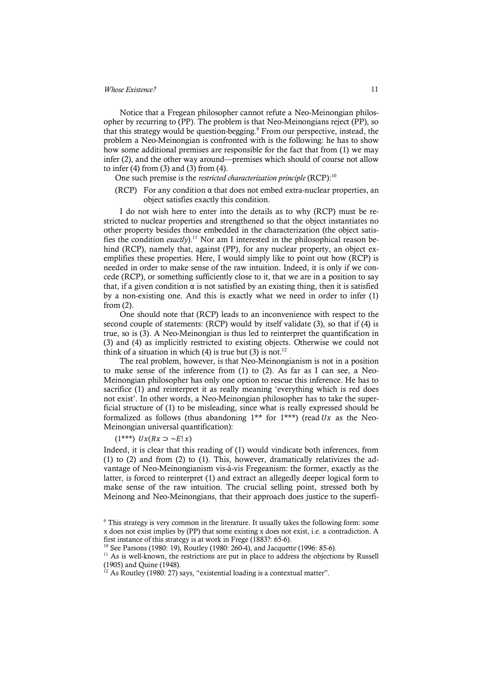Notice that a Fregean philosopher cannot refute a Neo-Meinongian philosopher by recurring to (PP). The problem is that Neo-Meinongians reject (PP), so that this strategy would be question-begging.<sup>9</sup> From our perspective, instead, the problem a Neo-Meinongian is confronted with is the following: he has to show how some additional premises are responsible for the fact that from (1) we may infer (2), and the other way around—premises which should of course not allow to infer  $(4)$  from  $(3)$  and  $(3)$  from  $(4)$ .

One such premise is the *restricted characterization principle* (RCP):<sup>10</sup>

(RCP) For any condition  $\alpha$  that does not embed extra-nuclear properties, an object satisfies exactly this condition.

I do not wish here to enter into the details as to why (RCP) must be restricted to nuclear properties and strengthened so that the object instantiates no other property besides those embedded in the characterization (the object satisfies the condition *exactly*).<sup>11</sup> Nor am I interested in the philosophical reason behind (RCP), namely that, against (PP), for any nuclear property, an object exemplifies these properties. Here, I would simply like to point out how (RCP) is needed in order to make sense of the raw intuition. Indeed, it is only if we concede (RCP), or something sufficiently close to it, that we are in a position to say that, if a given condition  $α$  is not satisfied by an existing thing, then it is satisfied by a non-existing one. And this is exactly what we need in order to infer (1) from (2).

One should note that (RCP) leads to an inconvenience with respect to the second couple of statements: (RCP) would by itself validate (3), so that if (4) is true, so is (3). A Neo-Meinongian is thus led to reinterpret the quantification in (3) and (4) as implicitly restricted to existing objects. Otherwise we could not think of a situation in which (4) is true but (3) is not.<sup>12</sup>

The real problem, however, is that Neo-Meinongianism is not in a position to make sense of the inference from (1) to (2). As far as I can see, a Neo-Meinongian philosopher has only one option to rescue this inference. He has to sacrifice (1) and reinterpret it as really meaning 'everything which is red does not exist'. In other words, a Neo-Meinongian philosopher has to take the superficial structure of (1) to be misleading, since what is really expressed should be formalized as follows (thus abandoning  $1^{**}$  for  $1^{***}$ ) (read Ux as the Neo-Meinongian universal quantification):

#### $(1^{***})$   $Ux(Rx \supset \sim E! x)$

Indeed, it is clear that this reading of (1) would vindicate both inferences, from (1) to (2) and from (2) to (1). This, however, dramatically relativizes the advantage of Neo-Meinongianism vis-à-vis Fregeanism: the former, exactly as the latter, is forced to reinterpret (1) and extract an allegedly deeper logical form to make sense of the raw intuition. The crucial selling point, stressed both by Meinong and Neo-Meinongians, that their approach does justice to the superfi-

<sup>9</sup> This strategy is very common in the literature. It usually takes the following form: some x does not exist implies by (PP) that some existing x does not exist, i.e. a contradiction. A first instance of this strategy is at work in Frege (1883?: 65-6). 10 See Parsons (1980: 19), Routley (1980: 260-4), and Jacquette (1996: 85-6).

 $11$  As is well-known, the restrictions are put in place to address the objections by Russell (1905) and Quine (1948).

 $12$  As Routley (1980: 27) says, "existential loading is a contextual matter".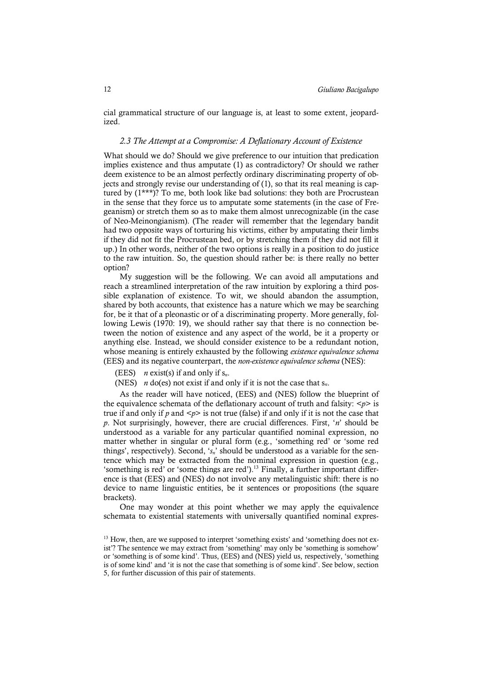cial grammatical structure of our language is, at least to some extent, jeopardized.

## *2.3 The Attempt at a Compromise: A Deflationary Account of Existence*

What should we do? Should we give preference to our intuition that predication implies existence and thus amputate (1) as contradictory? Or should we rather deem existence to be an almost perfectly ordinary discriminating property of objects and strongly revise our understanding of (1), so that its real meaning is captured by (1\*\*\*)? To me, both look like bad solutions: they both are Procrustean in the sense that they force us to amputate some statements (in the case of Fregeanism) or stretch them so as to make them almost unrecognizable (in the case of Neo-Meinongianism). (The reader will remember that the legendary bandit had two opposite ways of torturing his victims, either by amputating their limbs if they did not fit the Procrustean bed, or by stretching them if they did not fill it up.) In other words, neither of the two options is really in a position to do justice to the raw intuition. So, the question should rather be: is there really no better option?

My suggestion will be the following. We can avoid all amputations and reach a streamlined interpretation of the raw intuition by exploring a third possible explanation of existence. To wit, we should abandon the assumption, shared by both accounts, that existence has a nature which we may be searching for, be it that of a pleonastic or of a discriminating property. More generally, following Lewis (1970: 19), we should rather say that there is no connection between the notion of existence and any aspect of the world, be it a property or anything else. Instead, we should consider existence to be a redundant notion, whose meaning is entirely exhausted by the following *existence equivalence schema* (EES) and its negative counterpart, the *non-existence equivalence schema* (NES):

(EES) *n* exist(s) if and only if s*n*.

(NES) *n* do(es) not exist if and only if it is not the case that s*n*.

As the reader will have noticed, (EES) and (NES) follow the blueprint of the equivalence schemata of the deflationary account of truth and falsity:  $\langle p \rangle$  is true if and only if  $p$  and  $\langle p \rangle$  is not true (false) if and only if it is not the case that *p*. Not surprisingly, however, there are crucial differences. First, '*n*' should be understood as a variable for any particular quantified nominal expression, no matter whether in singular or plural form (e.g., 'something red' or 'some red things', respectively). Second, '*sn*' should be understood as a variable for the sentence which may be extracted from the nominal expression in question (e.g., 'something is red' or 'some things are red').<sup>13</sup> Finally, a further important difference is that (EES) and (NES) do not involve any metalinguistic shift: there is no device to name linguistic entities, be it sentences or propositions (the square brackets).

One may wonder at this point whether we may apply the equivalence schemata to existential statements with universally quantified nominal expres-

 $13$  How, then, are we supposed to interpret 'something exists' and 'something does not exist'? The sentence we may extract from 'something' may only be 'something is somehow' or 'something is of some kind'. Thus, (EES) and (NES) yield us, respectively, 'something is of some kind' and 'it is not the case that something is of some kind'. See below, section 5, for further discussion of this pair of statements.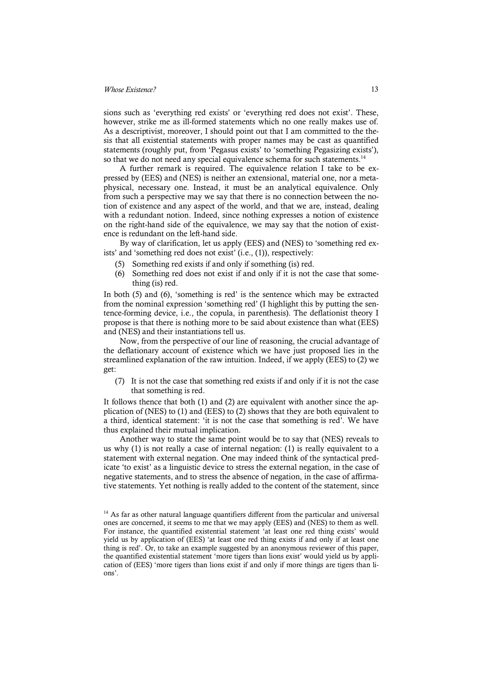sions such as 'everything red exists' or 'everything red does not exist'. These, however, strike me as ill-formed statements which no one really makes use of. As a descriptivist, moreover, I should point out that I am committed to the thesis that all existential statements with proper names may be cast as quantified statements (roughly put, from 'Pegasus exists' to 'something Pegasizing exists'), so that we do not need any special equivalence schema for such statements.<sup>14</sup>

A further remark is required. The equivalence relation I take to be expressed by (EES) and (NES) is neither an extensional, material one, nor a metaphysical, necessary one. Instead, it must be an analytical equivalence. Only from such a perspective may we say that there is no connection between the notion of existence and any aspect of the world, and that we are, instead, dealing with a redundant notion. Indeed, since nothing expresses a notion of existence on the right-hand side of the equivalence, we may say that the notion of existence is redundant on the left-hand side.

By way of clarification, let us apply (EES) and (NES) to 'something red exists' and 'something red does not exist' (i.e., (1)), respectively:

- (5) Something red exists if and only if something (is) red.
- (6) Something red does not exist if and only if it is not the case that something (is) red.

In both (5) and (6), 'something is red' is the sentence which may be extracted from the nominal expression 'something red' (I highlight this by putting the sentence-forming device, i.e., the copula, in parenthesis). The deflationist theory I propose is that there is nothing more to be said about existence than what (EES) and (NES) and their instantiations tell us.

Now, from the perspective of our line of reasoning, the crucial advantage of the deflationary account of existence which we have just proposed lies in the streamlined explanation of the raw intuition. Indeed, if we apply (EES) to (2) we get:

(7) It is not the case that something red exists if and only if it is not the case that something is red.

It follows thence that both (1) and (2) are equivalent with another since the application of (NES) to (1) and (EES) to (2) shows that they are both equivalent to a third, identical statement: 'it is not the case that something is red'. We have thus explained their mutual implication.

Another way to state the same point would be to say that (NES) reveals to us why (1) is not really a case of internal negation: (1) is really equivalent to a statement with external negation. One may indeed think of the syntactical predicate 'to exist' as a linguistic device to stress the external negation, in the case of negative statements, and to stress the absence of negation, in the case of affirmative statements. Yet nothing is really added to the content of the statement, since

<sup>&</sup>lt;sup>14</sup> As far as other natural language quantifiers different from the particular and universal ones are concerned, it seems to me that we may apply (EES) and (NES) to them as well. For instance, the quantified existential statement 'at least one red thing exists' would yield us by application of (EES) 'at least one red thing exists if and only if at least one thing is red'. Or, to take an example suggested by an anonymous reviewer of this paper, the quantified existential statement 'more tigers than lions exist' would yield us by application of (EES) 'more tigers than lions exist if and only if more things are tigers than lions'.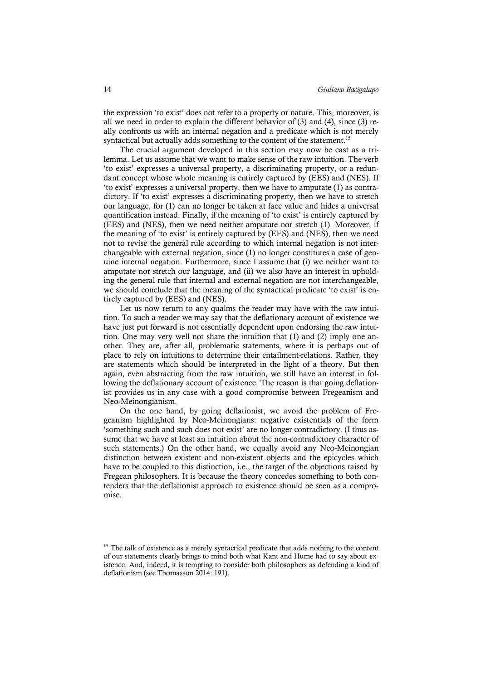the expression 'to exist' does not refer to a property or nature. This, moreover, is all we need in order to explain the different behavior of (3) and (4), since (3) really confronts us with an internal negation and a predicate which is not merely syntactical but actually adds something to the content of the statement.<sup>15</sup>

The crucial argument developed in this section may now be cast as a trilemma. Let us assume that we want to make sense of the raw intuition. The verb 'to exist' expresses a universal property, a discriminating property, or a redundant concept whose whole meaning is entirely captured by (EES) and (NES). If 'to exist' expresses a universal property, then we have to amputate (1) as contradictory. If 'to exist' expresses a discriminating property, then we have to stretch our language, for (1) can no longer be taken at face value and hides a universal quantification instead. Finally, if the meaning of 'to exist' is entirely captured by (EES) and (NES), then we need neither amputate nor stretch (1). Moreover, if the meaning of 'to exist' is entirely captured by (EES) and (NES), then we need not to revise the general rule according to which internal negation is not interchangeable with external negation, since (1) no longer constitutes a case of genuine internal negation. Furthermore, since I assume that (i) we neither want to amputate nor stretch our language, and (ii) we also have an interest in upholding the general rule that internal and external negation are not interchangeable, we should conclude that the meaning of the syntactical predicate 'to exist' is entirely captured by (EES) and (NES).

Let us now return to any qualms the reader may have with the raw intuition. To such a reader we may say that the deflationary account of existence we have just put forward is not essentially dependent upon endorsing the raw intuition. One may very well not share the intuition that (1) and (2) imply one another. They are, after all, problematic statements, where it is perhaps out of place to rely on intuitions to determine their entailment-relations. Rather, they are statements which should be interpreted in the light of a theory. But then again, even abstracting from the raw intuition, we still have an interest in following the deflationary account of existence. The reason is that going deflationist provides us in any case with a good compromise between Fregeanism and Neo-Meinongianism.

On the one hand, by going deflationist, we avoid the problem of Fregeanism highlighted by Neo-Meinongians: negative existentials of the form 'something such and such does not exist' are no longer contradictory. (I thus assume that we have at least an intuition about the non-contradictory character of such statements.) On the other hand, we equally avoid any Neo-Meinongian distinction between existent and non-existent objects and the epicycles which have to be coupled to this distinction, i.e., the target of the objections raised by Fregean philosophers. It is because the theory concedes something to both contenders that the deflationist approach to existence should be seen as a compromise.

<sup>&</sup>lt;sup>15</sup> The talk of existence as a merely syntactical predicate that adds nothing to the content of our statements clearly brings to mind both what Kant and Hume had to say about existence. And, indeed, it is tempting to consider both philosophers as defending a kind of deflationism (see Thomasson 2014: 191).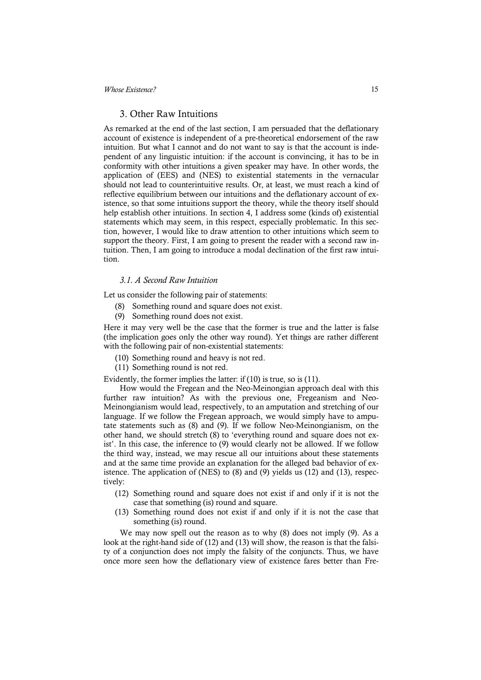#### 3. Other Raw Intuitions

As remarked at the end of the last section, I am persuaded that the deflationary account of existence is independent of a pre-theoretical endorsement of the raw intuition. But what I cannot and do not want to say is that the account is independent of any linguistic intuition: if the account is convincing, it has to be in conformity with other intuitions a given speaker may have. In other words, the application of (EES) and (NES) to existential statements in the vernacular should not lead to counterintuitive results. Or, at least, we must reach a kind of reflective equilibrium between our intuitions and the deflationary account of existence, so that some intuitions support the theory, while the theory itself should help establish other intuitions. In section 4, I address some (kinds of) existential statements which may seem, in this respect, especially problematic. In this section, however, I would like to draw attention to other intuitions which seem to support the theory. First, I am going to present the reader with a second raw intuition. Then, I am going to introduce a modal declination of the first raw intuition.

#### *3.1. A Second Raw Intuition*

Let us consider the following pair of statements:

- (8) Something round and square does not exist.
- (9) Something round does not exist.

Here it may very well be the case that the former is true and the latter is false (the implication goes only the other way round). Yet things are rather different with the following pair of non-existential statements:

- (10) Something round and heavy is not red.
- (11) Something round is not red.

Evidently, the former implies the latter: if (10) is true, so is (11).

How would the Fregean and the Neo-Meinongian approach deal with this further raw intuition? As with the previous one, Fregeanism and Neo-Meinongianism would lead, respectively, to an amputation and stretching of our language. If we follow the Fregean approach, we would simply have to amputate statements such as (8) and (9). If we follow Neo-Meinongianism, on the other hand, we should stretch (8) to 'everything round and square does not exist'. In this case, the inference to (9) would clearly not be allowed. If we follow the third way, instead, we may rescue all our intuitions about these statements and at the same time provide an explanation for the alleged bad behavior of existence. The application of (NES) to (8) and (9) yields us (12) and (13), respectively:

- (12) Something round and square does not exist if and only if it is not the case that something (is) round and square.
- (13) Something round does not exist if and only if it is not the case that something (is) round.

We may now spell out the reason as to why (8) does not imply (9). As a look at the right-hand side of (12) and (13) will show, the reason is that the falsity of a conjunction does not imply the falsity of the conjuncts. Thus, we have once more seen how the deflationary view of existence fares better than Fre-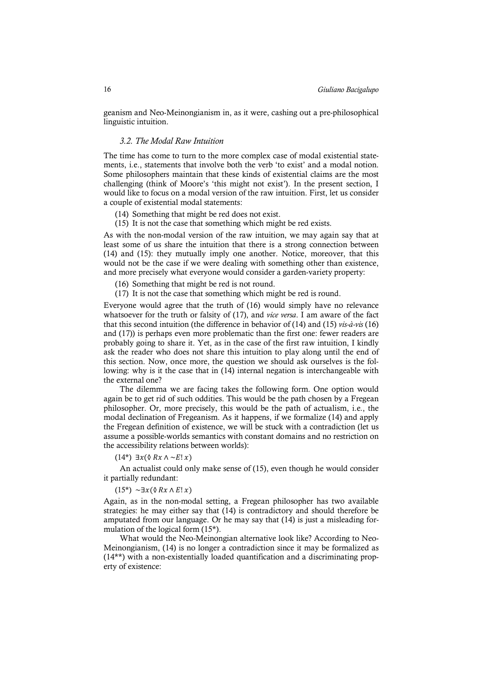geanism and Neo-Meinongianism in, as it were, cashing out a pre-philosophical linguistic intuition.

#### *3.2. The Modal Raw Intuition*

The time has come to turn to the more complex case of modal existential statements, i.e., statements that involve both the verb 'to exist' and a modal notion. Some philosophers maintain that these kinds of existential claims are the most challenging (think of Moore's 'this might not exist'). In the present section, I would like to focus on a modal version of the raw intuition. First, let us consider a couple of existential modal statements:

- (14) Something that might be red does not exist.
- (15) It is not the case that something which might be red exists.

As with the non-modal version of the raw intuition, we may again say that at least some of us share the intuition that there is a strong connection between (14) and (15): they mutually imply one another. Notice, moreover, that this would not be the case if we were dealing with something other than existence, and more precisely what everyone would consider a garden-variety property:

(16) Something that might be red is not round.

(17) It is not the case that something which might be red is round.

Everyone would agree that the truth of (16) would simply have no relevance whatsoever for the truth or falsity of (17), and *vice versa*. I am aware of the fact that this second intuition (the difference in behavior of (14) and (15) *vis-à-vis* (16) and (17)) is perhaps even more problematic than the first one: fewer readers are probably going to share it. Yet, as in the case of the first raw intuition, I kindly ask the reader who does not share this intuition to play along until the end of this section. Now, once more, the question we should ask ourselves is the following: why is it the case that in (14) internal negation is interchangeable with the external one?

The dilemma we are facing takes the following form. One option would again be to get rid of such oddities. This would be the path chosen by a Fregean philosopher. Or, more precisely, this would be the path of actualism, i.e., the modal declination of Fregeanism. As it happens, if we formalize (14) and apply the Fregean definition of existence, we will be stuck with a contradiction (let us assume a possible-worlds semantics with constant domains and no restriction on the accessibility relations between worlds):

 $(14^*)$  ∃ $x$ ( $\&$  R $x \wedge \neg E! x$ )

An actualist could only make sense of (15), even though he would consider it partially redundant:

 $(15^*) \sim \exists x (\& Rx \wedge E! x)$ 

Again, as in the non-modal setting, a Fregean philosopher has two available strategies: he may either say that (14) is contradictory and should therefore be amputated from our language. Or he may say that (14) is just a misleading formulation of the logical form (15\*).

What would the Neo-Meinongian alternative look like? According to Neo-Meinongianism, (14) is no longer a contradiction since it may be formalized as (14\*\*) with a non-existentially loaded quantification and a discriminating property of existence: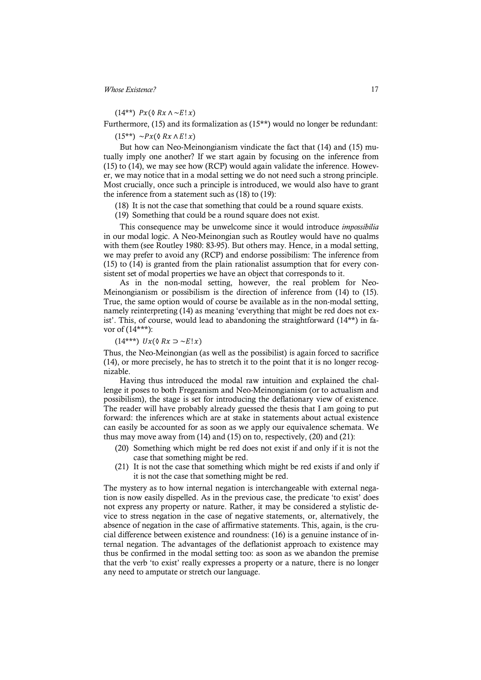$(14^{**})$   $Px$  ( $\&$   $Rx$   $\wedge \neg E!x$ )

Furthermore, (15) and its formalization as (15\*\*) would no longer be redundant:

 $(15^{**}) \sim P_{\mathcal{X}}(\mathcal{N} R \mathcal{X} \wedge E | \mathcal{X})$ 

But how can Neo-Meinongianism vindicate the fact that (14) and (15) mutually imply one another? If we start again by focusing on the inference from (15) to (14), we may see how (RCP) would again validate the inference. However, we may notice that in a modal setting we do not need such a strong principle. Most crucially, once such a principle is introduced, we would also have to grant the inference from a statement such as (18) to (19):

(18) It is not the case that something that could be a round square exists.

(19) Something that could be a round square does not exist.

This consequence may be unwelcome since it would introduce *impossibilia* in our modal logic. A Neo-Meinongian such as Routley would have no qualms with them (see Routley 1980: 83-95). But others may. Hence, in a modal setting, we may prefer to avoid any (RCP) and endorse possibilism: The inference from (15) to (14) is granted from the plain rationalist assumption that for every consistent set of modal properties we have an object that corresponds to it.

As in the non-modal setting, however, the real problem for Neo-Meinongianism or possibilism is the direction of inference from (14) to (15). True, the same option would of course be available as in the non-modal setting, namely reinterpreting (14) as meaning 'everything that might be red does not exist'. This, of course, would lead to abandoning the straightforward  $(14**)$  in favor of (14\*\*\*):

#### $(14***)$   $Ux(\Diamond Rx \supset \neg E!x)$

Thus, the Neo-Meinongian (as well as the possibilist) is again forced to sacrifice (14), or more precisely, he has to stretch it to the point that it is no longer recognizable.

Having thus introduced the modal raw intuition and explained the challenge it poses to both Fregeanism and Neo-Meinongianism (or to actualism and possibilism), the stage is set for introducing the deflationary view of existence. The reader will have probably already guessed the thesis that I am going to put forward: the inferences which are at stake in statements about actual existence can easily be accounted for as soon as we apply our equivalence schemata. We thus may move away from (14) and (15) on to, respectively, (20) and (21):

- (20) Something which might be red does not exist if and only if it is not the case that something might be red.
- (21) It is not the case that something which might be red exists if and only if it is not the case that something might be red.

The mystery as to how internal negation is interchangeable with external negation is now easily dispelled. As in the previous case, the predicate 'to exist' does not express any property or nature. Rather, it may be considered a stylistic device to stress negation in the case of negative statements, or, alternatively, the absence of negation in the case of affirmative statements. This, again, is the crucial difference between existence and roundness: (16) is a genuine instance of internal negation. The advantages of the deflationist approach to existence may thus be confirmed in the modal setting too: as soon as we abandon the premise that the verb 'to exist' really expresses a property or a nature, there is no longer any need to amputate or stretch our language.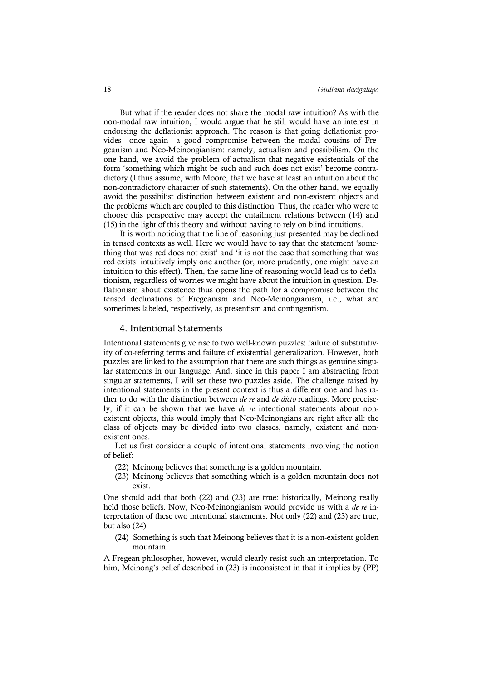But what if the reader does not share the modal raw intuition? As with the non-modal raw intuition, I would argue that he still would have an interest in endorsing the deflationist approach. The reason is that going deflationist provides—once again—a good compromise between the modal cousins of Fregeanism and Neo-Meinongianism: namely, actualism and possibilism. On the one hand, we avoid the problem of actualism that negative existentials of the form 'something which might be such and such does not exist' become contradictory (I thus assume, with Moore, that we have at least an intuition about the non-contradictory character of such statements). On the other hand, we equally avoid the possibilist distinction between existent and non-existent objects and the problems which are coupled to this distinction. Thus, the reader who were to choose this perspective may accept the entailment relations between (14) and (15) in the light of this theory and without having to rely on blind intuitions.

It is worth noticing that the line of reasoning just presented may be declined in tensed contexts as well. Here we would have to say that the statement 'something that was red does not exist' and 'it is not the case that something that was red exists' intuitively imply one another (or, more prudently, one might have an intuition to this effect). Then, the same line of reasoning would lead us to deflationism, regardless of worries we might have about the intuition in question. Deflationism about existence thus opens the path for a compromise between the tensed declinations of Fregeanism and Neo-Meinongianism, i.e., what are sometimes labeled, respectively, as presentism and contingentism.

#### 4. Intentional Statements

Intentional statements give rise to two well-known puzzles: failure of substitutivity of co-referring terms and failure of existential generalization. However, both puzzles are linked to the assumption that there are such things as genuine singular statements in our language. And, since in this paper I am abstracting from singular statements, I will set these two puzzles aside. The challenge raised by intentional statements in the present context is thus a different one and has rather to do with the distinction between *de re* and *de dicto* readings. More precisely, if it can be shown that we have *de re* intentional statements about nonexistent objects, this would imply that Neo-Meinongians are right after all: the class of objects may be divided into two classes, namely, existent and nonexistent ones.

Let us first consider a couple of intentional statements involving the notion of belief:

- (22) Meinong believes that something is a golden mountain.
- (23) Meinong believes that something which is a golden mountain does not exist.

One should add that both (22) and (23) are true: historically, Meinong really held those beliefs. Now, Neo-Meinongianism would provide us with a *de re* interpretation of these two intentional statements. Not only (22) and (23) are true, but also (24):

(24) Something is such that Meinong believes that it is a non-existent golden mountain.

A Fregean philosopher, however, would clearly resist such an interpretation. To him, Meinong's belief described in (23) is inconsistent in that it implies by (PP)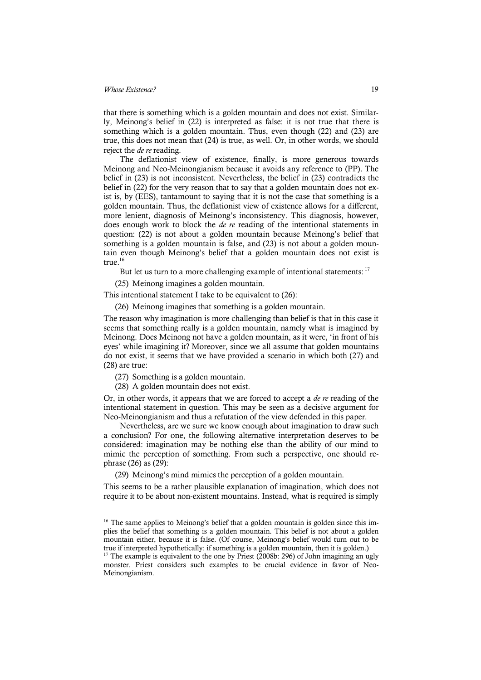that there is something which is a golden mountain and does not exist. Similarly, Meinong's belief in (22) is interpreted as false: it is not true that there is something which is a golden mountain. Thus, even though (22) and (23) are true, this does not mean that (24) is true, as well. Or, in other words, we should reject the *de re* reading.

The deflationist view of existence, finally, is more generous towards Meinong and Neo-Meinongianism because it avoids any reference to (PP). The belief in (23) is not inconsistent. Nevertheless, the belief in (23) contradicts the belief in (22) for the very reason that to say that a golden mountain does not exist is, by (EES), tantamount to saying that it is not the case that something is a golden mountain. Thus, the deflationist view of existence allows for a different, more lenient, diagnosis of Meinong's inconsistency. This diagnosis, however, does enough work to block the *de re* reading of the intentional statements in question: (22) is not about a golden mountain because Meinong's belief that something is a golden mountain is false, and (23) is not about a golden mountain even though Meinong's belief that a golden mountain does not exist is true. 16

But let us turn to a more challenging example of intentional statements: <sup>17</sup>

(25) Meinong imagines a golden mountain.

This intentional statement I take to be equivalent to (26):

(26) Meinong imagines that something is a golden mountain.

The reason why imagination is more challenging than belief is that in this case it seems that something really is a golden mountain, namely what is imagined by Meinong. Does Meinong not have a golden mountain, as it were, 'in front of his eyes' while imagining it? Moreover, since we all assume that golden mountains do not exist, it seems that we have provided a scenario in which both (27) and (28) are true:

- (27) Something is a golden mountain.
- (28) A golden mountain does not exist.

Or, in other words, it appears that we are forced to accept a *de re* reading of the intentional statement in question. This may be seen as a decisive argument for Neo-Meinongianism and thus a refutation of the view defended in this paper.

Nevertheless, are we sure we know enough about imagination to draw such a conclusion? For one, the following alternative interpretation deserves to be considered: imagination may be nothing else than the ability of our mind to mimic the perception of something. From such a perspective, one should rephrase (26) as (29):

(29) Meinong's mind mimics the perception of a golden mountain.

This seems to be a rather plausible explanation of imagination, which does not require it to be about non-existent mountains. Instead, what is required is simply

<sup>&</sup>lt;sup>16</sup> The same applies to Meinong's belief that a golden mountain is golden since this implies the belief that something is a golden mountain. This belief is not about a golden mountain either, because it is false. (Of course, Meinong's belief would turn out to be true if interpreted hypothetically: if something is a golden mountain, then it is golden.)

<sup>&</sup>lt;sup>17</sup> The example is equivalent to the one by Priest (2008b: 296) of John imagining an ugly monster. Priest considers such examples to be crucial evidence in favor of Neo-Meinongianism.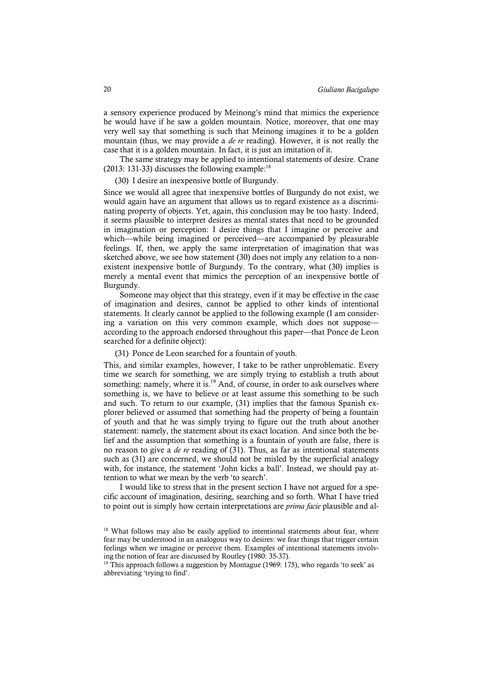a sensory experience produced by Meinong's mind that mimics the experience he would have if he saw a golden mountain. Notice, moreover, that one may very well say that something is such that Meinong imagines it to be a golden mountain (thus, we may provide a *de re* reading). However, it is not really the case that it is a golden mountain. In fact, it is just an imitation of it.

The same strategy may be applied to intentional statements of desire. Crane (2013: 131-33) discusses the following example:<sup>18</sup>

(30) I desire an inexpensive bottle of Burgundy.

Since we would all agree that inexpensive bottles of Burgundy do not exist, we would again have an argument that allows us to regard existence as a discriminating property of objects. Yet, again, this conclusion may be too hasty. Indeed, it seems plausible to interpret desires as mental states that need to be grounded in imagination or perception: I desire things that I imagine or perceive and which—while being imagined or perceived—are accompanied by pleasurable feelings. If, then, we apply the same interpretation of imagination that was sketched above, we see how statement (30) does not imply any relation to a nonexistent inexpensive bottle of Burgundy. To the contrary, what (30) implies is merely a mental event that mimics the perception of an inexpensive bottle of Burgundy.

Someone may object that this strategy, even if it may be effective in the case of imagination and desires, cannot be applied to other kinds of intentional statements. It clearly cannot be applied to the following example (I am considering a variation on this very common example, which does not suppose according to the approach endorsed throughout this paper—that Ponce de Leon searched for a definite object):

(31) Ponce de Leon searched for a fountain of youth.

This, and similar examples, however, I take to be rather unproblematic. Every time we search for something, we are simply trying to establish a truth about something: namely, where it is. $^{19}$  And, of course, in order to ask ourselves where something is, we have to believe or at least assume this something to be such and such. To return to our example, (31) implies that the famous Spanish explorer believed or assumed that something had the property of being a fountain of youth and that he was simply trying to figure out the truth about another statement: namely, the statement about its exact location. And since both the belief and the assumption that something is a fountain of youth are false, there is no reason to give a *de re* reading of (31). Thus, as far as intentional statements such as (31) are concerned, we should not be misled by the superficial analogy with, for instance, the statement 'John kicks a ball'. Instead, we should pay attention to what we mean by the verb 'to search'.

I would like to stress that in the present section I have not argued for a specific account of imagination, desiring, searching and so forth. What I have tried to point out is simply how certain interpretations are *prima facie* plausible and al-

<sup>&</sup>lt;sup>18</sup> What follows may also be easily applied to intentional statements about fear, where fear may be understood in an analogous way to desires: we fear things that trigger certain feelings when we imagine or perceive them. Examples of intentional statements involving the notion of fear are discussed by Routley (1980: 35-37).

 $19$ <sup>19</sup> This approach follows a suggestion by Montague (1969: 175), who regards 'to seek' as abbreviating 'trying to find'.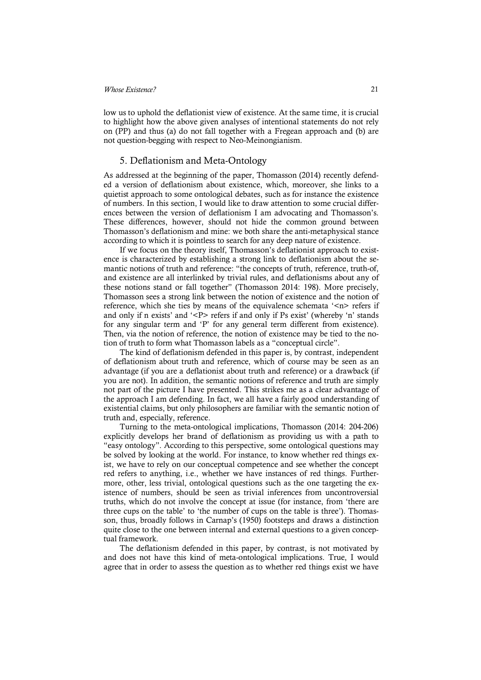low us to uphold the deflationist view of existence. At the same time, it is crucial to highlight how the above given analyses of intentional statements do not rely on (PP) and thus (a) do not fall together with a Fregean approach and (b) are not question-begging with respect to Neo-Meinongianism.

#### 5. Deflationism and Meta-Ontology

As addressed at the beginning of the paper, Thomasson (2014) recently defended a version of deflationism about existence, which, moreover, she links to a quietist approach to some ontological debates, such as for instance the existence of numbers. In this section, I would like to draw attention to some crucial differences between the version of deflationism I am advocating and Thomasson's. These differences, however, should not hide the common ground between Thomasson's deflationism and mine: we both share the anti-metaphysical stance according to which it is pointless to search for any deep nature of existence.

If we focus on the theory itself, Thomasson's deflationist approach to existence is characterized by establishing a strong link to deflationism about the semantic notions of truth and reference: "the concepts of truth, reference, truth-of, and existence are all interlinked by trivial rules, and deflationisms about any of these notions stand or fall together" (Thomasson 2014: 198). More precisely, Thomasson sees a strong link between the notion of existence and the notion of reference, which she ties by means of the equivalence schemata  $\leq n$  refers if and only if n exists' and  $\langle P \rangle$  refers if and only if Ps exist' (whereby 'n' stands for any singular term and 'P' for any general term different from existence). Then, via the notion of reference, the notion of existence may be tied to the notion of truth to form what Thomasson labels as a "conceptual circle".

The kind of deflationism defended in this paper is, by contrast, independent of deflationism about truth and reference, which of course may be seen as an advantage (if you are a deflationist about truth and reference) or a drawback (if you are not). In addition, the semantic notions of reference and truth are simply not part of the picture I have presented. This strikes me as a clear advantage of the approach I am defending. In fact, we all have a fairly good understanding of existential claims, but only philosophers are familiar with the semantic notion of truth and, especially, reference.

Turning to the meta-ontological implications, Thomasson (2014: 204-206) explicitly develops her brand of deflationism as providing us with a path to "easy ontology". According to this perspective, some ontological questions may be solved by looking at the world. For instance, to know whether red things exist, we have to rely on our conceptual competence and see whether the concept red refers to anything, i.e., whether we have instances of red things. Furthermore, other, less trivial, ontological questions such as the one targeting the existence of numbers, should be seen as trivial inferences from uncontroversial truths, which do not involve the concept at issue (for instance, from 'there are three cups on the table' to 'the number of cups on the table is three'). Thomasson, thus, broadly follows in Carnap's (1950) footsteps and draws a distinction quite close to the one between internal and external questions to a given conceptual framework.

The deflationism defended in this paper, by contrast, is not motivated by and does not have this kind of meta-ontological implications. True, I would agree that in order to assess the question as to whether red things exist we have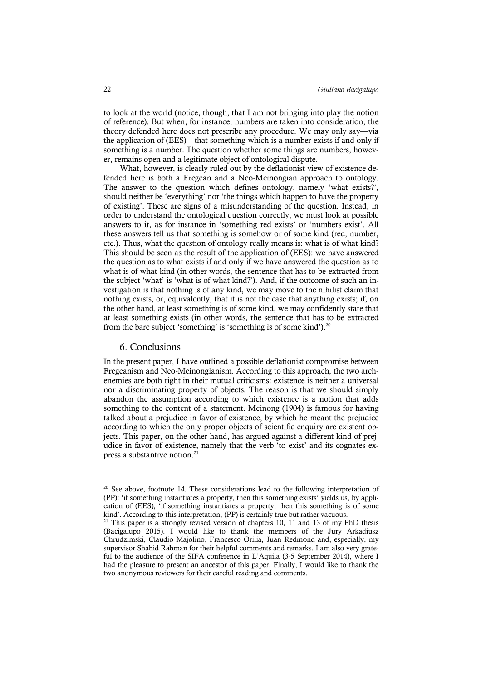to look at the world (notice, though, that I am not bringing into play the notion of reference). But when, for instance, numbers are taken into consideration, the theory defended here does not prescribe any procedure. We may only say—via the application of (EES)—that something which is a number exists if and only if something is a number. The question whether some things are numbers, however, remains open and a legitimate object of ontological dispute.

What, however, is clearly ruled out by the deflationist view of existence defended here is both a Fregean and a Neo-Meinongian approach to ontology. The answer to the question which defines ontology, namely 'what exists?', should neither be 'everything' nor 'the things which happen to have the property of existing'. These are signs of a misunderstanding of the question. Instead, in order to understand the ontological question correctly, we must look at possible answers to it, as for instance in 'something red exists' or 'numbers exist'. All these answers tell us that something is somehow or of some kind (red, number, etc.). Thus, what the question of ontology really means is: what is of what kind? This should be seen as the result of the application of (EES): we have answered the question as to what exists if and only if we have answered the question as to what is of what kind (in other words, the sentence that has to be extracted from the subject 'what' is 'what is of what kind?'). And, if the outcome of such an investigation is that nothing is of any kind, we may move to the nihilist claim that nothing exists, or, equivalently, that it is not the case that anything exists; if, on the other hand, at least something is of some kind, we may confidently state that at least something exists (in other words, the sentence that has to be extracted from the bare subject 'something' is 'something is of some kind').<sup>20</sup>

#### 6. Conclusions

In the present paper, I have outlined a possible deflationist compromise between Fregeanism and Neo-Meinongianism. According to this approach, the two archenemies are both right in their mutual criticisms: existence is neither a universal nor a discriminating property of objects. The reason is that we should simply abandon the assumption according to which existence is a notion that adds something to the content of a statement. Meinong (1904) is famous for having talked about a prejudice in favor of existence, by which he meant the prejudice according to which the only proper objects of scientific enquiry are existent objects. This paper, on the other hand, has argued against a different kind of prejudice in favor of existence, namely that the verb 'to exist' and its cognates express a substantive notion.<sup>21</sup>

<sup>&</sup>lt;sup>20</sup> See above, footnote 14. These considerations lead to the following interpretation of (PP): 'if something instantiates a property, then this something exists' yields us, by application of (EES), 'if something instantiates a property, then this something is of some kind'. According to this interpretation, (PP) is certainly true but rather vacuous.<br><sup>21</sup> This paper is a strongly revised version of chapters 10, 11 and 13 of my PhD thesis

<sup>(</sup>Bacigalupo 2015). I would like to thank the members of the Jury Arkadiusz Chrudzimski, Claudio Majolino, Francesco Orilia, Juan Redmond and, especially, my supervisor Shahid Rahman for their helpful comments and remarks. I am also very grateful to the audience of the SIFA conference in L'Aquila (3-5 September 2014), where I had the pleasure to present an ancestor of this paper. Finally, I would like to thank the two anonymous reviewers for their careful reading and comments.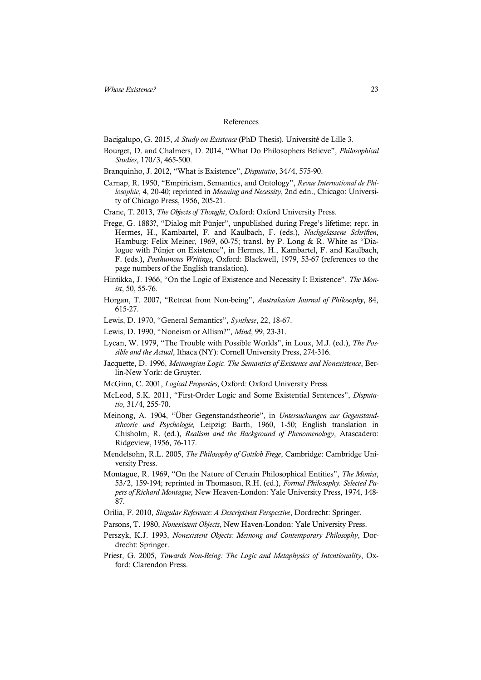#### References

Bacigalupo, G. 2015, *A Study on Existence* (PhD Thesis), Université de Lille 3.

- Bourget, D. and Chalmers, D. 2014, "What Do Philosophers Believe", *Philosophical Studies*, 170/3, 465-500.
- Branquinho, J. 2012, "What is Existence", *Disputatio*, 34/4, 575-90.
- Carnap, R. 1950, "Empiricism, Semantics, and Ontology", *Revue International de Philosophie*, 4, 20-40; reprinted in *Meaning and Necessity*, 2nd edn., Chicago: University of Chicago Press, 1956, 205-21.
- Crane, T. 2013, *The Objects of Thought*, Oxford: Oxford University Press.
- Frege, G. 1883?, "Dialog mit Pünjer", unpublished during Frege's lifetime; repr. in Hermes, H., Kambartel, F. and Kaulbach, F. (eds.), *Nachgelassene Schriften*, Hamburg: Felix Meiner, 1969, 60-75; transl. by P. Long & R. White as "Dialogue with Pünjer on Existence", in Hermes, H., Kambartel, F. and Kaulbach, F. (eds.), *Posthumous Writings*, Oxford: Blackwell, 1979, 53-67 (references to the page numbers of the English translation).
- Hintikka, J. 1966, "On the Logic of Existence and Necessity I: Existence", *The Monist*, 50, 55-76.
- Horgan, T. 2007, "Retreat from Non-being", *Australasian Journal of Philosophy*, 84, 615-27.
- Lewis, D. 1970, "General Semantics", *Synthese*, 22, 18-67.
- Lewis, D. 1990, "Noneism or Allism?", *Mind*, 99, 23-31.
- Lycan, W. 1979, "The Trouble with Possible Worlds", in Loux, M.J. (ed.), *The Possible and the Actual*, Ithaca (NY): Cornell University Press, 274-316.
- Jacquette, D. 1996, *Meinongian Logic. The Semantics of Existence and Nonexistence*, Berlin-New York: de Gruyter.
- McGinn, C. 2001, *Logical Properties*, Oxford: Oxford University Press.
- McLeod, S.K. 2011, "First-Order Logic and Some Existential Sentences", *Disputatio*, 31/4, 255-70.
- Meinong, A. 1904, "Über Gegenstandstheorie", in *Untersuchungen zur Gegenstandstheorie und Psychologie,* Leipzig: Barth, 1960, 1-50; English translation in Chisholm, R. (ed.), *Realism and the Background of Phenomenology*, Atascadero: Ridgeview, 1956, 76-117.
- Mendelsohn, R.L. 2005, *The Philosophy of Gottlob Frege*, Cambridge: Cambridge University Press.
- Montague, R. 1969, "On the Nature of Certain Philosophical Entities", *The Monist*, 53/2, 159-194; reprinted in Thomason, R.H. (ed.), *Formal Philosophy. Selected Papers of Richard Montague,* New Heaven-London: Yale University Press, 1974, 148- 87.
- Orilia, F. 2010, *Singular Reference: A Descriptivist Perspective*, Dordrecht: Springer.
- Parsons, T. 1980, *Nonexistent Objects*, New Haven-London: Yale University Press.
- Perszyk, K.J. 1993, *Nonexistent Objects: Meinong and Contemporary Philosophy*, Dordrecht: Springer.
- Priest, G. 2005, *Towards Non-Being: The Logic and Metaphysics of Intentionality*, Oxford: Clarendon Press.